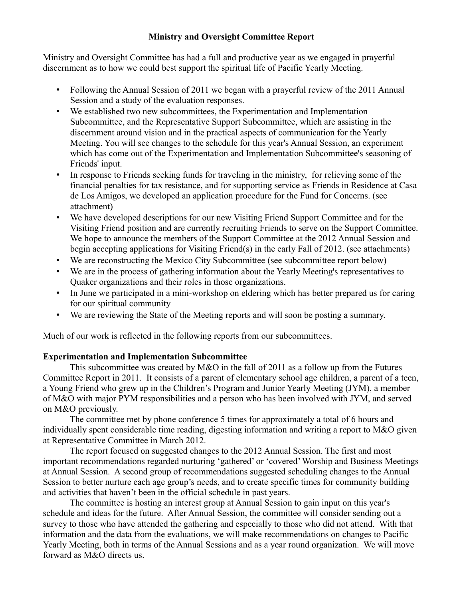## **Ministry and Oversight Committee Report**

Ministry and Oversight Committee has had a full and productive year as we engaged in prayerful discernment as to how we could best support the spiritual life of Pacific Yearly Meeting.

- Following the Annual Session of 2011 we began with a prayerful review of the 2011 Annual Session and a study of the evaluation responses.
- We established two new subcommittees, the Experimentation and Implementation Subcommittee, and the Representative Support Subcommittee, which are assisting in the discernment around vision and in the practical aspects of communication for the Yearly Meeting. You will see changes to the schedule for this year's Annual Session, an experiment which has come out of the Experimentation and Implementation Subcommittee's seasoning of Friends' input.
- In response to Friends seeking funds for traveling in the ministry, for relieving some of the financial penalties for tax resistance, and for supporting service as Friends in Residence at Casa de Los Amigos, we developed an application procedure for the Fund for Concerns. (see attachment)
- We have developed descriptions for our new Visiting Friend Support Committee and for the Visiting Friend position and are currently recruiting Friends to serve on the Support Committee. We hope to announce the members of the Support Committee at the 2012 Annual Session and begin accepting applications for Visiting Friend(s) in the early Fall of 2012. (see attachments)
- We are reconstructing the Mexico City Subcommittee (see subcommittee report below)
- We are in the process of gathering information about the Yearly Meeting's representatives to Quaker organizations and their roles in those organizations.
- In June we participated in a mini-workshop on eldering which has better prepared us for caring for our spiritual community
- We are reviewing the State of the Meeting reports and will soon be posting a summary.

Much of our work is reflected in the following reports from our subcommittees.

# **Experimentation and Implementation Subcommittee**

This subcommittee was created by  $M&O$  in the fall of 2011 as a follow up from the Futures Committee Report in 2011. It consists of a parent of elementary school age children, a parent of a teen, a Young Friend who grew up in the Children's Program and Junior Yearly Meeting (JYM), a member of M&O with major PYM responsibilities and a person who has been involved with JYM, and served on M&O previously.

The committee met by phone conference 5 times for approximately a total of 6 hours and individually spent considerable time reading, digesting information and writing a report to M&O given at Representative Committee in March 2012.

The report focused on suggested changes to the 2012 Annual Session. The first and most important recommendations regarded nurturing 'gathered' or 'covered' Worship and Business Meetings at Annual Session. A second group of recommendations suggested scheduling changes to the Annual Session to better nurture each age group's needs, and to create specific times for community building and activities that haven't been in the official schedule in past years.

The committee is hosting an interest group at Annual Session to gain input on this year's schedule and ideas for the future. After Annual Session, the committee will consider sending out a survey to those who have attended the gathering and especially to those who did not attend. With that information and the data from the evaluations, we will make recommendations on changes to Pacific Yearly Meeting, both in terms of the Annual Sessions and as a year round organization. We will move forward as M&O directs us.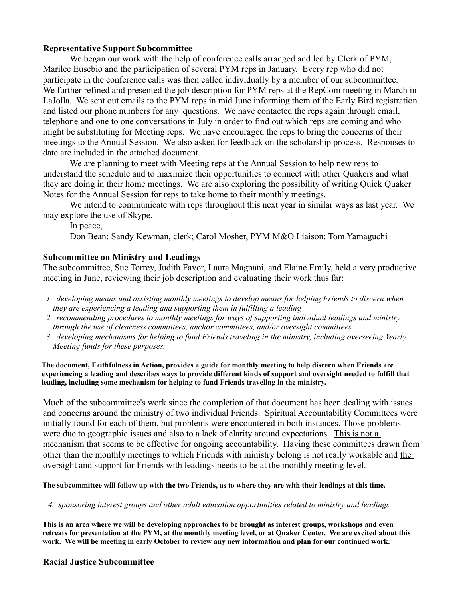### **Representative Support Subcommittee**

We began our work with the help of conference calls arranged and led by Clerk of PYM, Marilee Eusebio and the participation of several PYM reps in January. Every rep who did not participate in the conference calls was then called individually by a member of our subcommittee. We further refined and presented the job description for PYM reps at the RepCom meeting in March in LaJolla. We sent out emails to the PYM reps in mid June informing them of the Early Bird registration and listed our phone numbers for any questions. We have contacted the reps again through email, telephone and one to one conversations in July in order to find out which reps are coming and who might be substituting for Meeting reps. We have encouraged the reps to bring the concerns of their meetings to the Annual Session. We also asked for feedback on the scholarship process. Responses to date are included in the attached document.

We are planning to meet with Meeting reps at the Annual Session to help new reps to understand the schedule and to maximize their opportunities to connect with other Quakers and what they are doing in their home meetings. We are also exploring the possibility of writing Quick Quaker Notes for the Annual Session for reps to take home to their monthly meetings.

We intend to communicate with reps throughout this next year in similar ways as last year. We may explore the use of Skype.

In peace,

Don Bean; Sandy Kewman, clerk; Carol Mosher, PYM M&O Liaison; Tom Yamaguchi

### **Subcommittee on Ministry and Leadings**

The subcommittee, Sue Torrey, Judith Favor, Laura Magnani, and Elaine Emily, held a very productive meeting in June, reviewing their job description and evaluating their work thus far:

- *1. developing means and assisting monthly meetings to develop means for helping Friends to discern when they are experiencing a leading and supporting them in fulfilling a leading*
- *2. recommending procedures to monthly meetings for ways of supporting individual leadings and ministry through the use of clearness committees, anchor committees, and/or oversight committees.*
- *3. developing mechanisms for helping to fund Friends traveling in the ministry, including overseeing Yearly Meeting funds for these purposes.*

**The document, Faithfulness in Action, provides a guide for monthly meeting to help discern when Friends are experiencing a leading and describes ways to provide different kinds of support and oversight needed to fulfill that leading, including some mechanism for helping to fund Friends traveling in the ministry.**

Much of the subcommittee's work since the completion of that document has been dealing with issues and concerns around the ministry of two individual Friends. Spiritual Accountability Committees were initially found for each of them, but problems were encountered in both instances. Those problems were due to geographic issues and also to a lack of clarity around expectations. This is not a mechanism that seems to be effective for ongoing accountability. Having these committees drawn from other than the monthly meetings to which Friends with ministry belong is not really workable and the oversight and support for Friends with leadings needs to be at the monthly meeting level.

**The subcommittee will follow up with the two Friends, as to where they are with their leadings at this time.**

*4. sponsoring interest groups and other adult education opportunities related to ministry and leadings*

**This is an area where we will be developing approaches to be brought as interest groups, workshops and even retreats for presentation at the PYM, at the monthly meeting level, or at Quaker Center. We are excited about this work. We will be meeting in early October to review any new information and plan for our continued work.**

### **Racial Justice Subcommittee**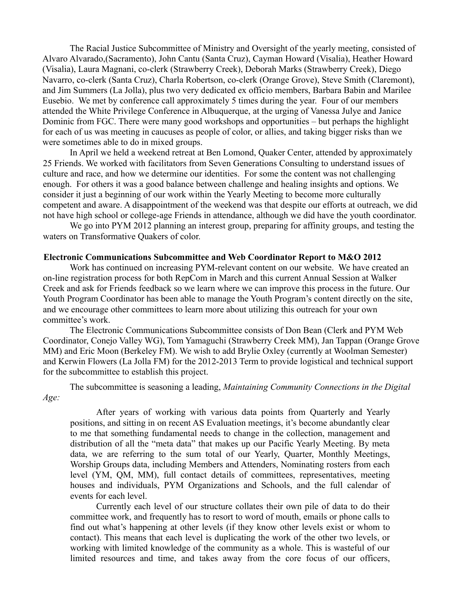The Racial Justice Subcommittee of Ministry and Oversight of the yearly meeting, consisted of Alvaro Alvarado,(Sacramento), John Cantu (Santa Cruz), Cayman Howard (Visalia), Heather Howard (Visalia), Laura Magnani, co-clerk (Strawberry Creek), Deborah Marks (Strawberry Creek), Diego Navarro, co-clerk (Santa Cruz), Charla Robertson, co-clerk (Orange Grove), Steve Smith (Claremont), and Jim Summers (La Jolla), plus two very dedicated ex officio members, Barbara Babin and Marilee Eusebio. We met by conference call approximately 5 times during the year. Four of our members attended the White Privilege Conference in Albuquerque, at the urging of Vanessa Julye and Janice Dominic from FGC. There were many good workshops and opportunities – but perhaps the highlight for each of us was meeting in caucuses as people of color, or allies, and taking bigger risks than we were sometimes able to do in mixed groups.

In April we held a weekend retreat at Ben Lomond, Quaker Center, attended by approximately 25 Friends. We worked with facilitators from Seven Generations Consulting to understand issues of culture and race, and how we determine our identities. For some the content was not challenging enough. For others it was a good balance between challenge and healing insights and options. We consider it just a beginning of our work within the Yearly Meeting to become more culturally competent and aware. A disappointment of the weekend was that despite our efforts at outreach, we did not have high school or college-age Friends in attendance, although we did have the youth coordinator.

We go into PYM 2012 planning an interest group, preparing for affinity groups, and testing the waters on Transformative Quakers of color.

#### **Electronic Communications Subcommittee and Web Coordinator Report to M&O 2012**

Work has continued on increasing PYM-relevant content on our website. We have created an on-line registration process for both RepCom in March and this current Annual Session at Walker Creek and ask for Friends feedback so we learn where we can improve this process in the future. Our Youth Program Coordinator has been able to manage the Youth Program's content directly on the site, and we encourage other committees to learn more about utilizing this outreach for your own committee's work.

The Electronic Communications Subcommittee consists of Don Bean (Clerk and PYM Web Coordinator, Conejo Valley WG), Tom Yamaguchi (Strawberry Creek MM), Jan Tappan (Orange Grove MM) and Eric Moon (Berkeley FM). We wish to add Brylie Oxley (currently at Woolman Semester) and Kerwin Flowers (La Jolla FM) for the 2012-2013 Term to provide logistical and technical support for the subcommittee to establish this project.

The subcommittee is seasoning a leading, *Maintaining Community Connections in the Digital Age:* 

After years of working with various data points from Quarterly and Yearly positions, and sitting in on recent AS Evaluation meetings, it's become abundantly clear to me that something fundamental needs to change in the collection, management and distribution of all the "meta data" that makes up our Pacific Yearly Meeting. By meta data, we are referring to the sum total of our Yearly, Quarter, Monthly Meetings, Worship Groups data, including Members and Attenders, Nominating rosters from each level (YM, QM, MM), full contact details of committees, representatives, meeting houses and individuals, PYM Organizations and Schools, and the full calendar of events for each level.

Currently each level of our structure collates their own pile of data to do their committee work, and frequently has to resort to word of mouth, emails or phone calls to find out what's happening at other levels (if they know other levels exist or whom to contact). This means that each level is duplicating the work of the other two levels, or working with limited knowledge of the community as a whole. This is wasteful of our limited resources and time, and takes away from the core focus of our officers,